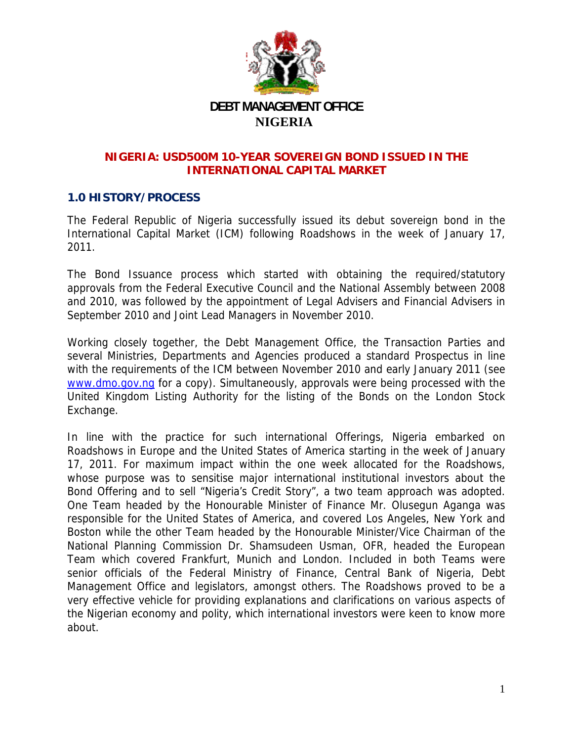

### NIGERIA: USD500M 10-YEAR SOVEREIGN BOND ISSUED IN THE **INTERNATIONAL CAPITAL MARKET**

# **1.0 HISTORY/PROCESS**

The Federal Republic of Nigeria successfully issued its debut sovereign bond in the International Capital Market (ICM) following Roadshows in the week of January 17,  $2011.$ 

The Bond Issuance process which started with obtaining the required/statutory approvals from the Federal Executive Council and the National Assembly between 2008 and 2010, was followed by the appointment of Legal Advisers and Financial Advisers in September 2010 and Joint Lead Managers in November 2010.

Working closely together, the Debt Management Office, the Transaction Parties and several Ministries, Departments and Agencies produced a standard Prospectus in line with the requirements of the ICM between November 2010 and early January 2011 (see www.dmo.gov.ng for a copy). Simultaneously, approvals were being processed with the United Kingdom Listing Authority for the listing of the Bonds on the London Stock Exchange.

In line with the practice for such international Offerings, Nigeria embarked on Roadshows in Europe and the United States of America starting in the week of January 17, 2011. For maximum impact within the one week allocated for the Roadshows, whose purpose was to sensitise major international institutional investors about the Bond Offering and to sell "Nigeria's Credit Story", a two team approach was adopted. One Team headed by the Honourable Minister of Finance Mr. Olusegun Aganga was responsible for the United States of America, and covered Los Angeles, New York and Boston while the other Team headed by the Honourable Minister/Vice Chairman of the National Planning Commission Dr. Shamsudeen Usman, OFR, headed the European Team which covered Frankfurt, Munich and London. Included in both Teams were senior officials of the Federal Ministry of Finance, Central Bank of Nigeria, Debt Management Office and legislators, amongst others. The Roadshows proved to be a very effective vehicle for providing explanations and clarifications on various aspects of the Nigerian economy and polity, which international investors were keen to know more about.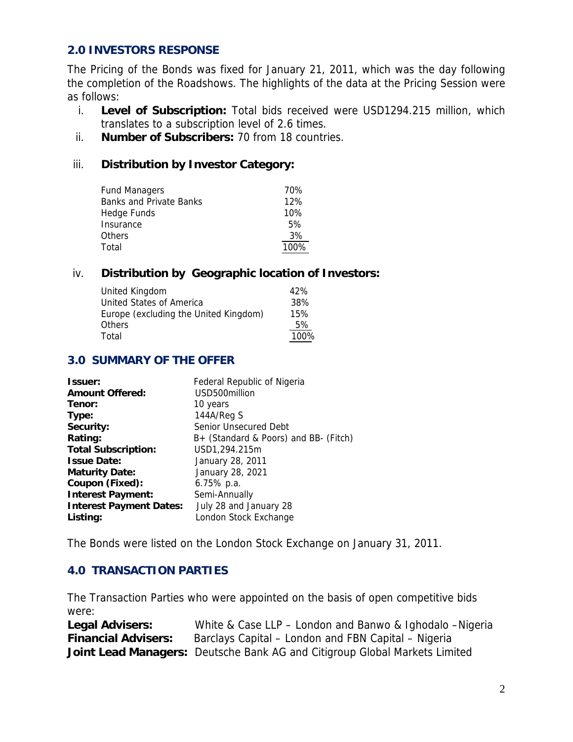# **2.0 INVESTORS RESPONSE**

The Pricing of the Bonds was fixed for January 21, 2011, which was the day following the completion of the Roadshows. The highlights of the data at the Pricing Session were as follows:

- i. **Level of Subscription:** Total bids received were USD1294.215 million, which translates to a subscription level of 2.6 times.
- ii. **Number of Subscribers:** 70 from 18 countries.

### iii. **Distribution by Investor Category:**

| <b>Fund Managers</b>           | 70%  |
|--------------------------------|------|
| <b>Banks and Private Banks</b> | 12%  |
| Hedge Funds                    | 10%  |
| Insurance                      | 5%   |
| <b>Others</b>                  | 3%   |
| Total                          | 100% |

### iv. **Distribution by Geographic location of Investors:**

| United Kingdom                        | 42%  |
|---------------------------------------|------|
| United States of America              | 38%  |
| Europe (excluding the United Kingdom) | 15%  |
| <b>Others</b>                         | 5%   |
| Total                                 | 100% |

#### **3.0 SUMMARY OF THE OFFER**

| Issuer:                        | Federal Republic of Nigeria           |
|--------------------------------|---------------------------------------|
| <b>Amount Offered:</b>         | USD500million                         |
| Tenor:                         | 10 years                              |
| Type:                          | 144A/Reg S                            |
| Security:                      | Senior Unsecured Debt                 |
| Rating:                        | B+ (Standard & Poors) and BB- (Fitch) |
| <b>Total Subscription:</b>     | USD1,294.215m                         |
| <b>Issue Date:</b>             | January 28, 2011                      |
| <b>Maturity Date:</b>          | January 28, 2021                      |
| Coupon (Fixed):                | $6.75\%$ p.a.                         |
| <b>Interest Payment:</b>       | Semi-Annually                         |
| <b>Interest Payment Dates:</b> | July 28 and January 28                |
| Listing:                       | London Stock Exchange                 |

The Bonds were listed on the London Stock Exchange on January 31, 2011.

# **4.0 TRANSACTION PARTIES**

The Transaction Parties who were appointed on the basis of open competitive bids were:

| <b>Legal Advisers:</b>     | White & Case LLP – London and Banwo & Ighodalo – Nigeria                   |
|----------------------------|----------------------------------------------------------------------------|
| <b>Financial Advisers:</b> | Barclays Capital – London and FBN Capital – Nigeria                        |
|                            | Joint Lead Managers: Deutsche Bank AG and Citigroup Global Markets Limited |